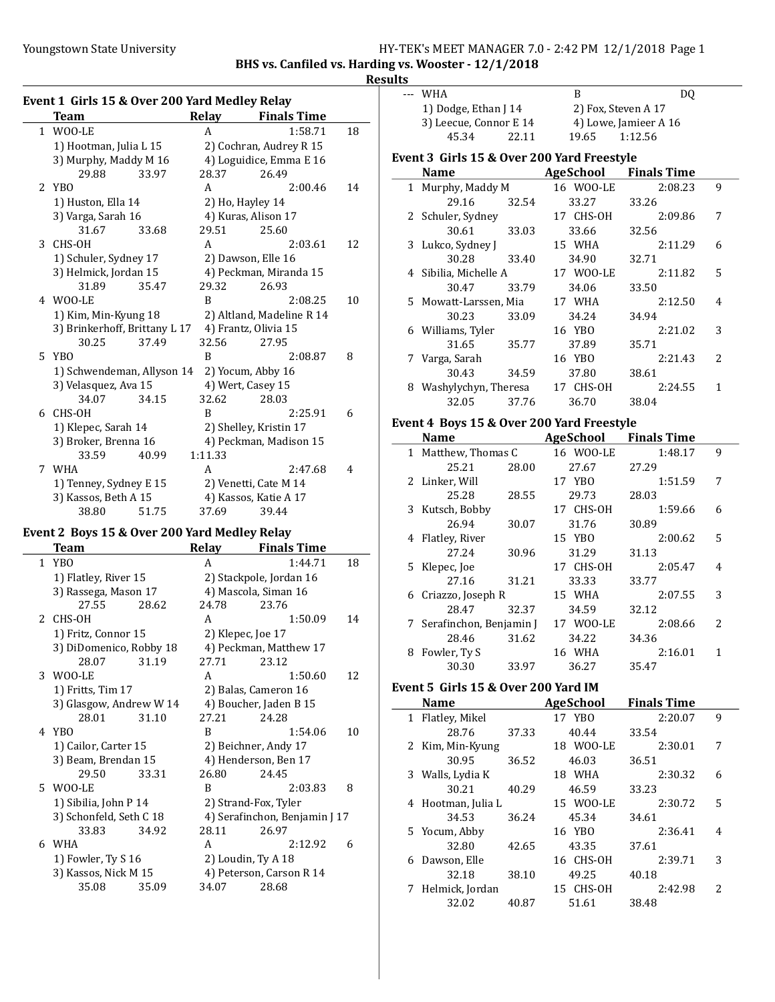$\overline{\phantom{a}}$ 

### Youngstown State University The Management State University HY-TEK's MEET MANAGER 7.0 - 2:42 PM 12/1/2018 Page 1

BHS vs. Canfiled vs. Harding vs. Wooster - 12/1/2018

### **Results**

|               | Event 1 Girls 15 & Over 200 Yard Medley Relay |       |         |                           |    |
|---------------|-----------------------------------------------|-------|---------|---------------------------|----|
|               | Team                                          |       | Relay   | <b>Finals Time</b>        |    |
|               | 1 WOO-LE                                      |       | A       | 1:58.71                   | 18 |
|               | 1) Hootman, Julia L 15                        |       |         | 2) Cochran, Audrey R 15   |    |
|               | 3) Murphy, Maddy M 16                         |       |         | 4) Loguidice, Emma E 16   |    |
|               | 29.88                                         | 33.97 | 28.37   | 26.49                     |    |
| $\mathcal{L}$ | YBO                                           |       | A       | 2:00.46                   | 14 |
|               | 1) Huston, Ella 14                            |       |         | 2) Ho, Hayley 14          |    |
|               | 3) Varga, Sarah 16                            |       |         | 4) Kuras, Alison 17       |    |
|               | 31.67                                         | 33.68 | 29.51   | 25.60                     |    |
| 3             | CHS-OH                                        |       | A       | 2:03.61                   | 12 |
|               | 1) Schuler, Sydney 17                         |       |         | 2) Dawson, Elle 16        |    |
|               | 3) Helmick, Jordan 15                         |       |         | 4) Peckman, Miranda 15    |    |
|               | 31.89                                         | 35.47 | 29.32   | 26.93                     |    |
|               | 4 WOO-LE                                      |       | B       | 2:08.25                   | 10 |
|               | 1) Kim, Min-Kyung 18                          |       |         | 2) Altland, Madeline R 14 |    |
|               | 3) Brinkerhoff, Brittany L 17                 |       |         | 4) Frantz, Olivia 15      |    |
|               | 30.25                                         | 37.49 | 32.56   | 27.95                     |    |
| 5.            | YBO                                           |       | B       | 2:08.87                   | 8  |
|               | 1) Schwendeman, Allyson 14                    |       |         | 2) Yocum, Abby 16         |    |
|               | 3) Velasquez, Ava 15                          |       |         | 4) Wert, Casey 15         |    |
|               | 34.07                                         | 34.15 | 32.62   | 28.03                     |    |
| 6             | CHS-OH                                        |       | B       | 2:25.91                   | 6  |
|               | 1) Klepec, Sarah 14                           |       |         | 2) Shelley, Kristin 17    |    |
|               | 3) Broker, Brenna 16                          |       |         | 4) Peckman, Madison 15    |    |
|               | 33.59                                         | 40.99 | 1:11.33 |                           |    |
| 7             | WHA                                           |       | A       | 2:47.68                   | 4  |
|               | 1) Tenney, Sydney E 15                        |       |         | 2) Venetti, Cate M 14     |    |
|               | 3) Kassos, Beth A 15                          |       |         | 4) Kassos, Katie A 17     |    |
|               | 38.80                                         | 51.75 | 37.69   | 39.44                     |    |

### Event 2 Boys 15 & Over 200 Yard Medley Relay

|   | Team                    |       | <b>Relay</b> | <b>Finals Time</b>            |    |
|---|-------------------------|-------|--------------|-------------------------------|----|
|   | 1 YBO                   |       | A            | 1:44.71                       | 18 |
|   | 1) Flatley, River 15    |       |              | 2) Stackpole, Jordan 16       |    |
|   | 3) Rassega, Mason 17    |       |              | 4) Mascola, Siman 16          |    |
|   | 27.55                   | 28.62 | 24.78        | 23.76                         |    |
|   | 2 CHS-OH                |       | A            | 1:50.09                       | 14 |
|   | 1) Fritz, Connor 15     |       |              | 2) Klepec, Joe 17             |    |
|   | 3) DiDomenico, Robby 18 |       |              | 4) Peckman, Matthew 17        |    |
|   | 28.07                   | 31.19 | 27.71        | 23.12                         |    |
|   | 3 WOO-LE                |       | A            | 1:50.60                       | 12 |
|   | 1) Fritts, Tim 17       |       |              | 2) Balas, Cameron 16          |    |
|   | 3) Glasgow, Andrew W 14 |       |              | 4) Boucher, Jaden B 15        |    |
|   | 28.01                   | 31.10 | 27.21        | 24.28                         |    |
|   | 4 YBO                   |       | B            | 1:54.06                       | 10 |
|   | 1) Cailor, Carter 15    |       |              | 2) Beichner, Andy 17          |    |
|   | 3) Beam, Brendan 15     |       |              | 4) Henderson, Ben 17          |    |
|   | 29.50                   | 33.31 | 26.80        | 24.45                         |    |
|   | 5 WOO-LE                |       | B            | 2:03.83                       | 8  |
|   | 1) Sibilia, John P 14   |       |              | 2) Strand-Fox, Tyler          |    |
|   | 3) Schonfeld, Seth C 18 |       |              | 4) Serafinchon, Benjamin J 17 |    |
|   | 33.83                   | 34.92 | 28.11        | 26.97                         |    |
| 6 | WHA                     |       | A            | 2:12.92                       | 6  |
|   | 1) Fowler, Ty S 16      |       |              | 2) Loudin, Ty A 18            |    |
|   | 3) Kassos, Nick M 15    |       |              | 4) Peterson, Carson R 14      |    |
|   | 35.08                   | 35.09 | 34.07        | 28.68                         |    |
|   |                         |       |              |                               |    |

| --- WHA<br>В<br>DO<br>1) Dodge, Ethan J 14<br>2) Fox, Steven A 17<br>3) Leecue, Connor E 14<br>4) Lowe, Jamieer A 16<br>1:12.56<br>45.34<br>22.11<br>19.65<br>Event 3 Girls 15 & Over 200 Yard Freestyle<br><b>AgeSchool</b> Finals Time<br><b>Name</b><br>16 WOO-LE<br>1 Murphy, Maddy M<br>2:08.23<br>29.16<br>33.27<br>32.54<br>33.26 |  |  |  |
|------------------------------------------------------------------------------------------------------------------------------------------------------------------------------------------------------------------------------------------------------------------------------------------------------------------------------------------|--|--|--|
|                                                                                                                                                                                                                                                                                                                                          |  |  |  |
|                                                                                                                                                                                                                                                                                                                                          |  |  |  |
|                                                                                                                                                                                                                                                                                                                                          |  |  |  |
|                                                                                                                                                                                                                                                                                                                                          |  |  |  |
|                                                                                                                                                                                                                                                                                                                                          |  |  |  |
|                                                                                                                                                                                                                                                                                                                                          |  |  |  |
|                                                                                                                                                                                                                                                                                                                                          |  |  |  |
|                                                                                                                                                                                                                                                                                                                                          |  |  |  |

|   | 2 Schuler, Sydney     |       | 17 CHS-OH | 2:09.86 | 7             |
|---|-----------------------|-------|-----------|---------|---------------|
|   | 30.61                 | 33.03 | 33.66     | 32.56   |               |
|   | 3 Lukco, Sydney J     |       | 15 WHA    | 2:11.29 | 6             |
|   | 30.28                 | 33.40 | 34.90     | 32.71   |               |
|   | 4 Sibilia, Michelle A |       | 17 WOO-LE | 2:11.82 | 5             |
|   | 30.47                 | 33.79 | 34.06     | 33.50   |               |
|   | 5 Mowatt-Larssen, Mia |       | 17 WHA    | 2:12.50 | 4             |
|   | 30.23                 | 33.09 | 34.24     | 34.94   |               |
|   | 6 Williams, Tyler     |       | 16 YBO    | 2:21.02 | 3             |
|   | 31.65                 | 35.77 | 37.89     | 35.71   |               |
|   | 7 Varga, Sarah        |       | 16 YBO    | 2:21.43 | $\mathcal{L}$ |
|   | 30.43                 | 34.59 | 37.80     | 38.61   |               |
| 8 | Washylychyn, Theresa  |       | 17 CHS-OH | 2:24.55 | 1             |
|   | 32.05                 | 37.76 | 36.70     | 38.04   |               |

### Event 4 Boys 15 & Over 200 Yard Freestyle

|   | <b>Name</b>               |       | AgeSchool | <b>Finals Time</b> |   |
|---|---------------------------|-------|-----------|--------------------|---|
|   | 1 Matthew, Thomas C       |       | 16 WOO-LE | 1:48.17            | 9 |
|   | 25.21                     | 28.00 | 27.67     | 27.29              |   |
|   | 2 Linker, Will            |       | 17 YBO    | 1:51.59            | 7 |
|   | 25.28                     | 28.55 | 29.73     | 28.03              |   |
|   | 3 Kutsch, Bobby           |       | 17 CHS-OH | 1:59.66            | 6 |
|   | 26.94                     | 30.07 | 31.76     | 30.89              |   |
| 4 | Flatley, River            |       | 15 YBO    | 2:00.62            | 5 |
|   | 27.24                     | 30.96 | 31.29     | 31.13              |   |
|   | 5 Klepec, Joe             |       | 17 CHS-OH | 2:05.47            | 4 |
|   | 27.16                     | 31.21 | 33.33     | 33.77              |   |
|   | 6 Criazzo, Joseph R       |       | 15 WHA    | 2:07.55            | 3 |
|   | 28.47                     | 32.37 | 34.59     | 32.12              |   |
|   | 7 Serafinchon, Benjamin J |       | 17 WOO-LE | 2:08.66            | 2 |
|   | 28.46                     | 31.62 | 34.22     | 34.36              |   |
| 8 | Fowler, Ty S              |       | 16 WHA    | 2:16.01            | 1 |
|   | 30.30                     | 33.97 | 36.27     | 35.47              |   |

# Event 5 Girls 15 & Over 200 Yard IM

|   | <b>Name</b>        |       | AgeSchool | <b>Finals Time</b> |   |
|---|--------------------|-------|-----------|--------------------|---|
|   | 1 Flatley, Mikel   |       | 17 YBO    | 2:20.07            | 9 |
|   | 28.76              | 37.33 | 40.44     | 33.54              |   |
|   | 2 Kim, Min-Kyung   |       | 18 WOO-LE | 2:30.01            | 7 |
|   | 30.95              | 36.52 | 46.03     | 36.51              |   |
|   | 3 Walls, Lydia K   |       | 18 WHA    | 2:30.32            | 6 |
|   | 30.21              | 40.29 | 46.59     | 33.23              |   |
|   | 4 Hootman, Julia L |       | 15 WOO-LE | 2:30.72            | 5 |
|   | 34.53              | 36.24 | 45.34     | 34.61              |   |
|   | 5 Yocum, Abby      |       | 16 YBO    | 2:36.41            | 4 |
|   | 32.80              | 42.65 | 43.35     | 37.61              |   |
|   | 6 Dawson, Elle     |       | 16 CHS-0H | 2:39.71            | 3 |
|   | 32.18              | 38.10 | 49.25     | 40.18              |   |
| 7 | Helmick, Jordan    |       | 15 CHS-OH | 2:42.98            | 2 |
|   | 32.02              | 40.87 | 51.61     | 38.48              |   |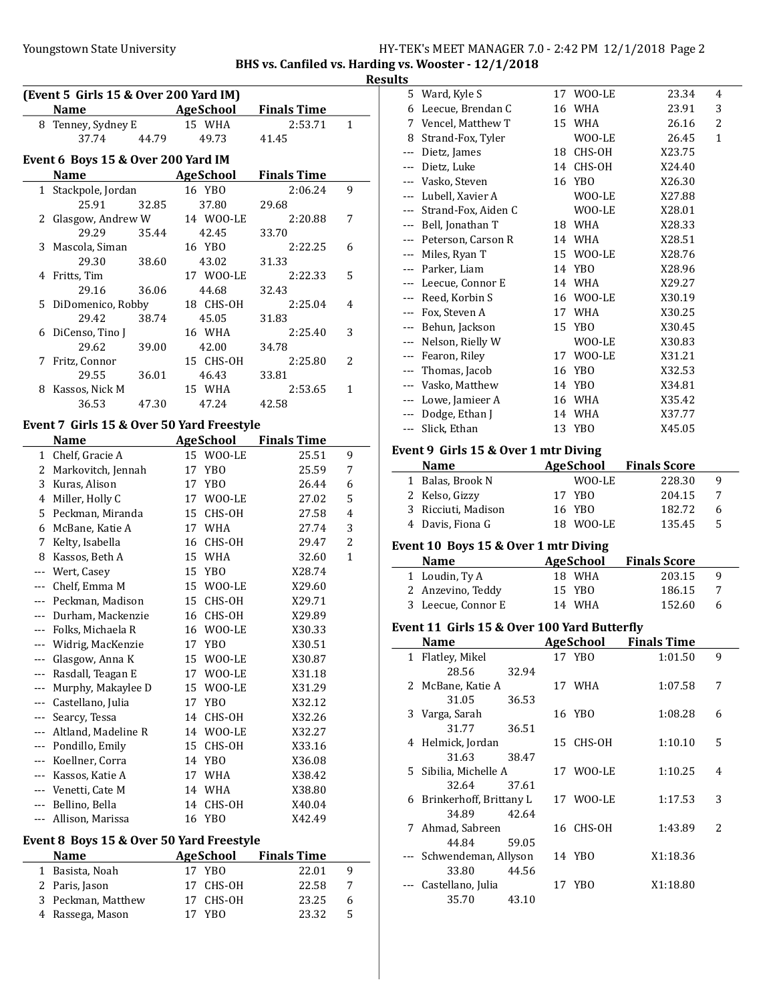# Youngstown State University The Magnostown State University Fig. 2.42 PM 12/1/2018 Page 2

BHS vs. Canfiled vs. Harding vs. Wooster - 12/1/2018

#### Results

|                | (Event 5 Girls 15 & Over 200 Yard IM)     |       |    |                  |                    |                |
|----------------|-------------------------------------------|-------|----|------------------|--------------------|----------------|
|                | <b>Name</b>                               |       |    | AgeSchool        | <b>Finals Time</b> |                |
|                | 8 Tenney, Sydney E                        |       |    | 15 WHA           | 2:53.71            | 1              |
|                | 37.74                                     | 44.79 |    | 49.73            | 41.45              |                |
|                | Event 6 Boys 15 & Over 200 Yard IM        |       |    |                  |                    |                |
|                | <b>Name</b>                               |       |    | <b>AgeSchool</b> | <b>Finals Time</b> |                |
| $1\,$          | Stackpole, Jordan                         |       |    | 16 YBO           | 2:06.24            | 9              |
|                | 25.91                                     | 32.85 |    | 37.80            | 29.68              |                |
| 2              | Glasgow, Andrew W                         |       |    | 14 WOO-LE        | 2:20.88            | 7              |
|                | 29.29                                     | 35.44 |    | 42.45            | 33.70              |                |
| 3              | Mascola, Siman                            |       |    | 16 YBO           | 2:22.25            | 6              |
|                | 29.30                                     | 38.60 |    | 43.02            | 31.33              |                |
| 4              | Fritts, Tim                               |       |    | 17 WOO-LE        | 2:22.33            | 5              |
|                | 29.16                                     | 36.06 |    | 44.68            | 32.43              |                |
| 5              | DiDomenico, Robby                         |       |    | 18 CHS-OH        | 2:25.04            | 4              |
|                | 29.42                                     | 38.74 |    | 45.05            | 31.83              |                |
| 6              | DiCenso, Tino J                           |       |    | 16 WHA           | 2:25.40            | 3              |
|                | 29.62                                     | 39.00 |    | 42.00            | 34.78              |                |
| 7              | Fritz, Connor                             |       |    | 15 CHS-OH        | 2:25.80            | 2              |
|                | 29.55                                     | 36.01 |    | 46.43            | 33.81              |                |
| 8              | Kassos, Nick M                            |       |    | 15 WHA           | 2:53.65            | 1              |
|                | 36.53                                     | 47.30 |    | 47.24            | 42.58              |                |
|                | Event 7 Girls 15 & Over 50 Yard Freestyle |       |    |                  |                    |                |
|                | <b>Name</b>                               |       |    | <b>AgeSchool</b> | <b>Finals Time</b> |                |
| $1\,$          | Chelf, Gracie A                           |       |    | 15 WOO-LE        | 25.51              | 9              |
| 2              | Markovitch, Jennah                        |       | 17 | YBO              | 25.59              | 7              |
| 3              | Kuras, Alison                             |       |    | 17 YBO           | 26.44              | 6              |
| $\overline{4}$ | Miller, Holly C                           |       |    | 17 WOO-LE        | 27.02              | 5              |
|                | 5 Peckman, Miranda                        |       |    | 15 CHS-OH        | 27.58              | 4              |
| 6              | McBane, Katie A                           |       |    | 17 WHA           | 27.74              | 3              |
| 7              | Kelty, Isabella                           |       |    | 16 CHS-OH        | 29.47              | $\overline{c}$ |
| 8              | Kassos, Beth A                            |       |    | 15 WHA           | 32.60              | 1              |
| $---$          | Wert, Casey                               |       |    | 15 YBO           | X28.74             |                |
|                | --- Chelf, Emma M                         |       |    | 15 WOO-LE        | X29.60             |                |
|                | --- Peckman, Madison                      |       |    | 15 CHS-OH        | X29.71             |                |
|                | --- Durham, Mackenzie                     |       |    | 16 CHS-OH        | X29.89             |                |
|                | --- Folks, Michaela R                     |       |    | 16 WOO-LE        | X30.33             |                |
|                | --- Widrig, MacKenzie                     |       |    | 17 YBO           | X30.51             |                |
| ---            | Glasgow, Anna K                           |       | 15 |                  |                    |                |
|                | Rasdall, Teagan E                         |       | 17 | WOO-LE<br>WOO-LE | X30.87             |                |
|                |                                           |       | 15 |                  | X31.18             |                |
|                | Murphy, Makaylee D<br>Castellano, Julia   |       | 17 | WOO-LE           | X31.29             |                |
| ---            |                                           |       |    | YBO              | X32.12             |                |
| ---            | Searcy, Tessa                             |       | 14 | CHS-OH           | X32.26             |                |
|                | Altland, Madeline R                       |       | 14 | WOO-LE           | X32.27             |                |
| ---            | Pondillo, Emily                           |       | 15 | CHS-OH           | X33.16             |                |
| ---            | Koellner, Corra                           |       | 14 | YB <sub>0</sub>  | X36.08             |                |
| ---            | Kassos, Katie A                           |       | 17 | WHA              | X38.42             |                |
| ---            | Venetti, Cate M                           |       | 14 | WHA              | X38.80             |                |
| $---$          | Bellino, Bella                            |       | 14 | CHS-OH           | X40.04             |                |
| ---            | Allison, Marissa                          |       | 16 | YBO              | X42.49             |                |

# Event 8 Boys 15 & Over 50 Yard Freestyle

 $\overline{a}$ 

| <b>Name</b>        | AgeSchool | <b>Finals Time</b> |   |
|--------------------|-----------|--------------------|---|
| 1 Basista, Noah    | 17 YBO    | 22.01              | q |
| 2 Paris, Jason     | 17 CHS-OH | 22.58              |   |
| 3 Peckman, Matthew | 17 CHS-OH | 23.25              | 6 |
| 4 Rassega, Mason   | 17 YBO    | 23.32              | 5 |

|     | 5 Ward, Kyle S                              | 17 | WOO-LE                     | 23.34                         | 4 |
|-----|---------------------------------------------|----|----------------------------|-------------------------------|---|
|     | 6 Leecue, Brendan C                         | 16 | WHA                        | 23.91                         | 3 |
| 7   | Vencel, Matthew T                           |    | 15 WHA                     | 26.16                         | 2 |
|     | 8 Strand-Fox, Tyler                         |    | WOO-LE                     | 26.45                         | 1 |
|     | --- Dietz, James                            | 18 | CHS-OH                     | X23.75                        |   |
|     | --- Dietz, Luke                             | 14 | CHS-OH                     | X24.40                        |   |
|     | --- Vasko, Steven                           | 16 | YBO                        | X26.30                        |   |
|     | --- Lubell, Xavier A                        |    | WOO-LE                     | X27.88                        |   |
|     | --- Strand-Fox, Aiden C                     |    | WOO-LE                     | X28.01                        |   |
|     | --- Bell, Jonathan T                        |    | 18 WHA                     | X28.33                        |   |
|     | --- Peterson, Carson R                      |    | 14 WHA                     | X28.51                        |   |
|     | --- Miles, Ryan T                           |    | 15 WOO-LE                  | X28.76                        |   |
|     | --- Parker, Liam                            |    | 14 YBO                     | X28.96                        |   |
|     | --- Leecue, Connor E                        |    | 14 WHA                     | X29.27                        |   |
|     | --- Reed, Korbin S                          |    | 16 WOO-LE                  | X30.19                        |   |
|     |                                             |    |                            |                               |   |
|     | --- Fox, Steven A                           |    | 17 WHA                     | X30.25                        |   |
|     | --- Behun, Jackson                          |    | 15 YBO                     | X30.45                        |   |
|     | --- Nelson, Rielly W                        |    | WOO-LE                     | X30.83                        |   |
|     | --- Fearon, Riley                           |    | 17 WOO-LE                  | X31.21                        |   |
|     | --- Thomas, Jacob                           | 16 | YBO                        | X32.53                        |   |
|     | --- Vasko, Matthew                          |    | 14 YBO                     | X34.81                        |   |
|     | --- Lowe, Jamieer A                         |    | 16 WHA                     | X35.42                        |   |
|     | --- Dodge, Ethan J                          |    | 14 WHA                     | X37.77                        |   |
|     | --- Slick, Ethan                            | 13 | YBO                        | X45.05                        |   |
|     | Event 9 Girls 15 & Over 1 mtr Diving        |    |                            |                               |   |
|     | <b>Name</b>                                 |    | <b>AgeSchool</b>           | <b>Finals Score</b>           |   |
|     | 1 Balas, Brook N                            |    | WOO-LE                     | 228.30                        | 9 |
|     | 2 Kelso, Gizzy                              |    | 17 YBO                     | 204.15                        | 7 |
|     |                                             |    |                            |                               |   |
|     |                                             |    |                            |                               |   |
|     | 3 Ricciuti, Madison                         |    | 16 YBO                     | 182.72                        | 6 |
| 4   | Davis, Fiona G                              |    | 18 WOO-LE                  | 135.45                        | 5 |
|     | Event 10 Boys 15 & Over 1 mtr Diving        |    |                            |                               |   |
|     | Name                                        |    |                            |                               |   |
|     |                                             |    | <b>AgeSchool</b><br>18 WHA | <b>Finals Score</b><br>203.15 | 9 |
|     | 1 Loudin, Ty A                              | 15 | YB <sub>0</sub>            | 186.15                        | 7 |
|     | 2 Anzevino, Teddy                           |    |                            |                               | 6 |
|     | 3 Leecue, Connor E                          |    | 14 WHA                     | 152.60                        |   |
|     | Event 11 Girls 15 & Over 100 Yard Butterfly |    |                            |                               |   |
|     | <b>Name</b>                                 |    | <b>AgeSchool</b>           | <b>Finals Time</b>            |   |
|     | 1 Flatley, Mikel                            |    | 17 YBO                     | 1:01.50                       | 9 |
|     | 28.56<br>32.94                              |    |                            |                               |   |
|     | 2 McBane, Katie A                           |    | 17 WHA                     | 1:07.58                       | 7 |
|     | 31.05<br>36.53                              |    |                            |                               |   |
|     | 3 Varga, Sarah                              |    | 16 YBO                     | 1:08.28                       | 6 |
|     | 31.77<br>36.51                              |    |                            |                               |   |
| 4   | Helmick, Jordan                             | 15 | CHS-OH                     | 1:10.10                       | 5 |
|     | 31.63<br>38.47                              |    |                            |                               |   |
| 5   | Sibilia, Michelle A                         |    | 17 WOO-LE                  | 1:10.25                       | 4 |
|     | 32.64<br>37.61                              |    |                            |                               |   |
| 6   | Brinkerhoff, Brittany L                     |    | 17 WOO-LE                  | 1:17.53                       | 3 |
|     | 34.89<br>42.64                              |    |                            |                               |   |
| 7   | Ahmad, Sabreen                              | 16 | CHS-OH                     | 1:43.89                       | 2 |
|     | 44.84<br>59.05                              |    |                            |                               |   |
|     | Schwendeman, Allyson                        |    | 14 YBO                     | X1:18.36                      |   |
|     | 33.80<br>44.56                              |    |                            |                               |   |
| --- | Castellano, Julia                           |    | 17 YBO                     | X1:18.80                      |   |
|     | 35.70<br>43.10                              |    |                            |                               |   |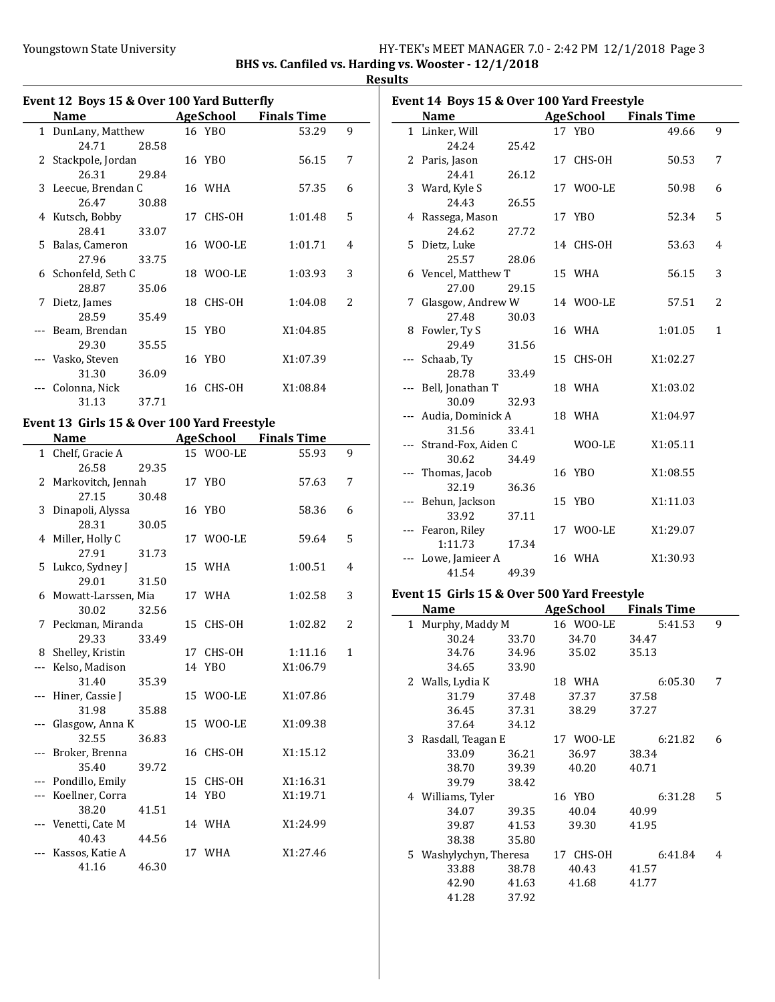# Youngstown State University The Management State University HY-TEK's MEET MANAGER 7.0 - 2:42 PM 12/1/2018 Page 3

BHS vs. Canfiled vs. Harding vs. Wooster - 12/1/2018 **Results** 

|   | Event 12 Boys 15 & Over 100 Yard Butterfly |       |                  |                    |                          |
|---|--------------------------------------------|-------|------------------|--------------------|--------------------------|
|   | Name                                       |       | <b>AgeSchool</b> | <b>Finals Time</b> |                          |
|   | 1 DunLany, Matthew                         |       | 16 YBO           | 53.29              | 9                        |
|   | 24.71                                      | 28.58 |                  |                    |                          |
| 2 | Stackpole, Jordan                          |       | 16 YBO           | 56.15              | 7                        |
|   | 26.31                                      | 29.84 |                  |                    |                          |
|   | 3 Leecue, Brendan C                        |       | 16 WHA           | 57.35              | 6                        |
|   | 26.47                                      | 30.88 |                  |                    |                          |
|   | 4 Kutsch, Bobby                            |       | 17 CHS-OH        | 1:01.48            | 5                        |
|   | 28.41                                      | 33.07 |                  |                    |                          |
|   | 5 Balas, Cameron                           |       | 16 WOO-LE        | 1:01.71            | 4                        |
|   | 27.96                                      | 33.75 |                  |                    |                          |
|   | 6 Schonfeld, Seth C                        |       | 18 WOO-LE        | 1:03.93            | 3                        |
|   | 28.87                                      | 35.06 |                  |                    |                          |
| 7 | Dietz, James                               |       | 18 CHS-OH        | 1:04.08            | $\overline{\mathcal{L}}$ |
|   | 28.59                                      | 35.49 |                  |                    |                          |
|   | Beam, Brendan                              |       | 15 YBO           | X1:04.85           |                          |
|   | 29.30                                      | 35.55 |                  |                    |                          |
|   | Vasko, Steven                              |       | 16 YBO           | X1:07.39           |                          |
|   | 31.30                                      | 36.09 |                  |                    |                          |
|   | Colonna, Nick                              |       | 16 CHS-OH        | X1:08.84           |                          |
|   | 31.13                                      | 37.71 |                  |                    |                          |

#### Event 13 Girls 15 & Over 100 Yard Freestyle

| <b>Name</b>           |       |    | <b>AgeSchool</b> | <b>Finals Time</b> |                |
|-----------------------|-------|----|------------------|--------------------|----------------|
| 1 Chelf, Gracie A     |       |    | 15 WOO-LE        | 55.93              | 9              |
| 26.58                 | 29.35 |    |                  |                    |                |
| 2 Markovitch, Jennah  |       |    | 17 YBO           | 57.63              | 7              |
| 27.15                 | 30.48 |    |                  |                    |                |
| 3 Dinapoli, Alyssa    |       |    | 16 YBO           | 58.36              | 6              |
| 28.31                 | 30.05 |    |                  |                    |                |
| 4 Miller, Holly C     |       |    | 17 WOO-LE        | 59.64              | 5              |
| 27.91                 | 31.73 |    |                  |                    |                |
| 5 Lukco, Sydney J     |       |    | 15 WHA           | 1:00.51            | 4              |
| 29.01                 | 31.50 |    |                  |                    |                |
| 6 Mowatt-Larssen, Mia |       |    | 17 WHA           | 1:02.58            | 3              |
| 30.02                 | 32.56 |    |                  |                    |                |
| 7 Peckman, Miranda    |       | 15 | CHS-OH           | 1:02.82            | $\overline{2}$ |
| 29.33                 | 33.49 |    |                  |                    |                |
| 8 Shelley, Kristin    |       |    | 17 CHS-OH        | 1:11.16            | 1              |
| --- Kelso, Madison    |       |    | 14 YBO           | X1:06.79           |                |
| 31.40                 | 35.39 |    |                  |                    |                |
| --- Hiner, Cassie J   |       |    | 15 WOO-LE        | X1:07.86           |                |
| 31.98                 | 35.88 |    |                  |                    |                |
| Glasgow, Anna K       |       |    | 15 WOO-LE        | X1:09.38           |                |
| 32.55                 | 36.83 |    |                  |                    |                |
| Broker, Brenna        |       | 16 | CHS-OH           | X1:15.12           |                |
| 35.40                 | 39.72 |    |                  |                    |                |
| --- Pondillo, Emily   |       |    | 15 CHS-OH        | X1:16.31           |                |
| Koellner, Corra       |       |    | 14 YBO           | X1:19.71           |                |
| 38.20                 | 41.51 |    |                  |                    |                |
| Venetti, Cate M       |       |    | 14 WHA           | X1:24.99           |                |
| 40.43                 | 44.56 |    |                  |                    |                |
| --- Kassos, Katie A   |       |    | 17 WHA           | X1:27.46           |                |
| 41.16                 | 46.30 |    |                  |                    |                |

|    | <b>Name</b>             |       | AgeSchool | <b>Finals Time</b> |                |
|----|-------------------------|-------|-----------|--------------------|----------------|
|    | 1 Linker, Will          |       | 17 YBO    | 49.66              | 9              |
|    | 24.24                   | 25.42 |           |                    |                |
|    | 2 Paris, Jason          |       | 17 CHS-OH | 50.53              | 7              |
|    | 24.41                   | 26.12 |           |                    |                |
|    | 3 Ward, Kyle S          |       | 17 WOO-LE | 50.98              | 6              |
|    | 24.43                   | 26.55 |           |                    |                |
|    | 4 Rassega, Mason        |       | 17 YBO    | 52.34              | 5              |
|    | 24.62                   | 27.72 |           |                    |                |
| 5. | Dietz, Luke             |       | 14 CHS-OH | 53.63              | 4              |
|    | 25.57                   | 28.06 |           |                    |                |
|    | 6 Vencel, Matthew T     |       | 15 WHA    | 56.15              | 3              |
|    | 27.00                   | 29.15 |           |                    |                |
|    | 7 Glasgow, Andrew W     |       | 14 WOO-LE | 57.51              | $\overline{c}$ |
|    | 27.48                   | 30.03 |           |                    |                |
|    | 8 Fowler, Ty S          |       | 16 WHA    | 1:01.05            | 1              |
|    | 29.49                   | 31.56 |           |                    |                |
|    | --- Schaab, Ty          |       | 15 CHS-OH | X1:02.27           |                |
|    | 28.78                   | 33.49 |           |                    |                |
|    | --- Bell, Jonathan T    |       | 18 WHA    | X1:03.02           |                |
|    | 30.09                   | 32.93 |           |                    |                |
|    | --- Audia, Dominick A   |       | 18 WHA    | X1:04.97           |                |
|    | 31.56                   | 33.41 |           |                    |                |
|    | --- Strand-Fox, Aiden C |       | WOO-LE    | X1:05.11           |                |
|    | 30.62                   | 34.49 |           |                    |                |
|    | Thomas, Jacob           |       | 16 YBO    | X1:08.55           |                |
|    | 32.19                   | 36.36 |           |                    |                |
|    | --- Behun, Jackson      |       | 15 YBO    | X1:11.03           |                |
|    | 33.92                   | 37.11 |           |                    |                |
|    | --- Fearon, Riley       |       | 17 WOO-LE | X1:29.07           |                |
|    | 1:11.73                 | 17.34 |           |                    |                |
|    | Lowe, Jamieer A         |       | 16 WHA    | X1:30.93           |                |
|    | 41.54                   | 49.39 |           |                    |                |
|    |                         |       |           |                    |                |

# Event 15 Girls 15 & Over 500 Yard Freestyle

|              | Name                 |       | AgeSchool    | <b>Finals Time</b> |   |
|--------------|----------------------|-------|--------------|--------------------|---|
| $\mathbf{1}$ | Murphy, Maddy M      |       | 16 WOO-LE    | 5:41.53            | 9 |
|              | 30.24                | 33.70 | 34.70        | 34.47              |   |
|              | 34.76                | 34.96 | 35.02        | 35.13              |   |
|              | 34.65                | 33.90 |              |                    |   |
|              | 2 Walls, Lydia K     |       | 18 WHA       | 6:05.30            | 7 |
|              | 31.79                | 37.48 | 37.37        | 37.58              |   |
|              | 36.45                | 37.31 | 38.29        | 37.27              |   |
|              | 37.64                | 34.12 |              |                    |   |
| 3            | Rasdall, Teagan E    |       | 17 WOO-LE    | 6:21.82            | 6 |
|              | 33.09                | 36.21 | 36.97        | 38.34              |   |
|              | 38.70                | 39.39 | 40.20        | 40.71              |   |
|              | 39.79                | 38.42 |              |                    |   |
|              | 4 Williams, Tyler    |       | 16 YBO       | 6:31.28            | 5 |
|              | 34.07                | 39.35 | 40.04        | 40.99              |   |
|              | 39.87                | 41.53 | 39.30        | 41.95              |   |
|              | 38.38                | 35.80 |              |                    |   |
| 5.           | Washylychyn, Theresa |       | CHS-OH<br>17 | 6:41.84            | 4 |
|              | 33.88                | 38.78 | 40.43        | 41.57              |   |
|              | 42.90                | 41.63 | 41.68        | 41.77              |   |
|              | 41.28                | 37.92 |              |                    |   |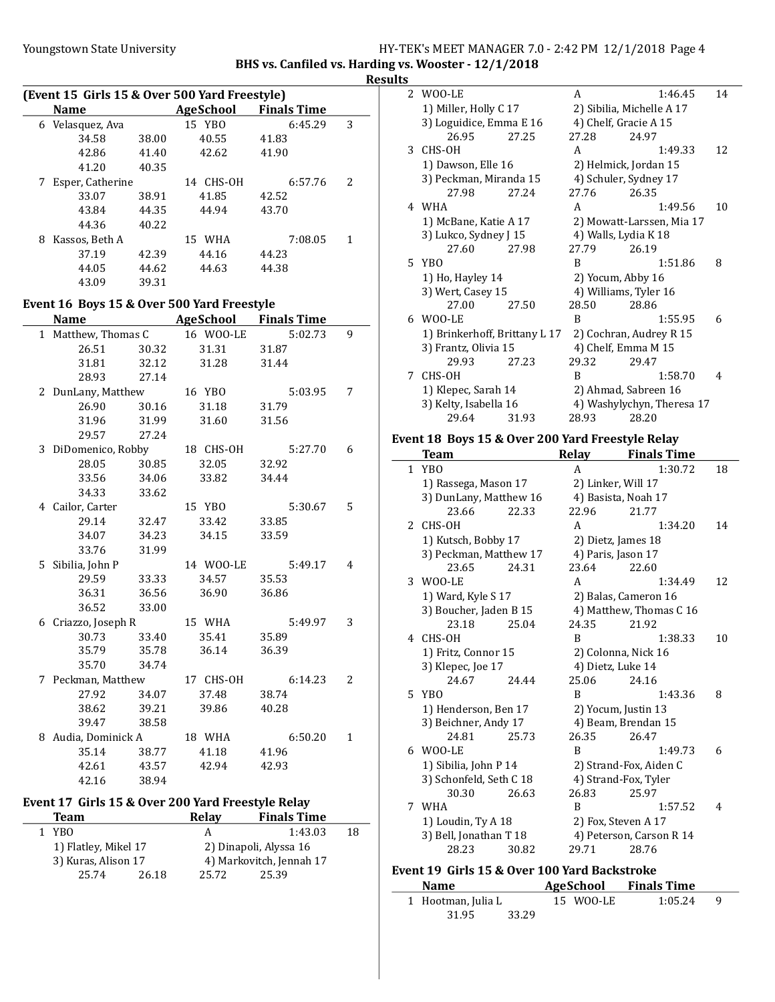### Youngstown State University The Management State University HY-TEK's MEET MANAGER 7.0 - 2:42 PM 12/1/2018 Page 4 BHS vs. Canfiled vs. Harding vs. Wooster - 12/1/2018

### **Results**

|   | (Event 15 Girls 15 & Over 500 Yard Freestyle) |       |                                        |         |   |
|---|-----------------------------------------------|-------|----------------------------------------|---------|---|
|   | <b>Name</b>                                   |       | <b>Example 2 AgeSchool Finals Time</b> |         |   |
|   | 6 Velasquez, Ava                              |       | 15 YBO                                 | 6:45.29 | 3 |
|   | 34.58                                         | 38.00 | 40.55                                  | 41.83   |   |
|   | 42.86                                         | 41.40 | 42.62                                  | 41.90   |   |
|   | 41.20                                         | 40.35 |                                        |         |   |
|   | 7 Esper, Catherine                            |       | 14 CHS-OH                              | 6:57.76 | 2 |
|   | 33.07                                         | 38.91 | 41.85                                  | 42.52   |   |
|   | 43.84                                         | 44.35 | 44.94                                  | 43.70   |   |
|   | 44.36                                         | 40.22 |                                        |         |   |
|   | 8 Kassos, Beth A                              |       | 15 WHA                                 | 7:08.05 | 1 |
|   | 37.19                                         | 42.39 | 44.16                                  | 44.23   |   |
|   | 44.05                                         | 44.62 | 44.63                                  | 44.38   |   |
|   | 43.09                                         | 39.31 |                                        |         |   |
|   |                                               |       |                                        |         |   |
|   | Event 16 Boys 15 & Over 500 Yard Freestyle    |       |                                        |         |   |
|   | Name AgeSchool Finals Time                    |       |                                        |         |   |
|   | 1 Matthew, Thomas C                           |       | 16 WOO-LE                              | 5:02.73 | 9 |
|   | 26.51                                         | 30.32 | 31.31                                  | 31.87   |   |
|   | 31.81                                         | 32.12 | 31.28                                  | 31.44   |   |
|   | 28.93                                         | 27.14 |                                        |         |   |
|   | 2 DunLany, Matthew                            |       | 16 YBO                                 | 5:03.95 | 7 |
|   | 26.90                                         | 30.16 | 31.18                                  | 31.79   |   |
|   | 31.96                                         | 31.99 | 31.60                                  | 31.56   |   |
|   | 29.57                                         | 27.24 |                                        |         |   |
|   | 3 DiDomenico, Robby                           |       | 18 CHS-OH                              | 5:27.70 | 6 |
|   | 28.05                                         | 30.85 | 32.05                                  | 32.92   |   |
|   | 33.56                                         | 34.06 | 33.82                                  | 34.44   |   |
|   | 34.33                                         | 33.62 |                                        |         |   |
|   | 4 Cailor, Carter                              |       | 15 YBO                                 | 5:30.67 | 5 |
|   | 29.14                                         | 32.47 | 33.42                                  | 33.85   |   |
|   | 34.07                                         | 34.23 | 34.15                                  | 33.59   |   |
|   | 33.76                                         | 31.99 |                                        |         |   |
|   | 5 Sibilia, John P                             |       | 14 WOO-LE                              | 5:49.17 | 4 |
|   | 29.59                                         | 33.33 | 34.57                                  | 35.53   |   |
|   | 36.31                                         | 36.56 | 36.90                                  | 36.86   |   |
|   | 36.52                                         | 33.00 |                                        |         |   |
|   | 6 Criazzo, Joseph R                           |       | 15 WHA                                 | 5:49.97 | 3 |
|   | 30.73                                         | 33.40 | 35.41                                  | 35.89   |   |
|   | 35.79                                         | 35.78 | 36.14                                  | 36.39   |   |
|   | 35.70                                         | 34.74 |                                        |         |   |
|   | 7 Peckman, Matthew                            |       | 17 CHS-OH                              | 6:14.23 | 2 |
|   | 27.92                                         | 34.07 | 37.48                                  | 38.74   |   |
|   | 38.62                                         | 39.21 | 39.86                                  | 40.28   |   |
|   | 39.47                                         | 38.58 |                                        |         |   |
| 8 | Audia, Dominick A                             |       | 18 WHA                                 | 6:50.20 | 1 |
|   | 35.14                                         | 38.77 | 41.18                                  | 41.96   |   |
|   | 42.61                                         | 43.57 | 42.94                                  | 42.93   |   |
|   | 42.16                                         | 38.94 |                                        |         |   |
|   |                                               |       |                                        |         |   |

### Event 17 Girls 15 & Over 200 Yard Freestyle Relay

| <b>Team</b>          |       | Relav | <b>Finals Time</b>       |    |
|----------------------|-------|-------|--------------------------|----|
| YBO.                 |       |       | 1:43.03                  | 18 |
| 1) Flatley, Mikel 17 |       |       | 2) Dinapoli, Alyssa 16   |    |
| 3) Kuras, Alison 17  |       |       | 4) Markovitch, Jennah 17 |    |
| 25.74                | 26.18 | 25.72 | 25.39                    |    |

| 2 WOO-LE          | A                                                                                                                                                                                                                                                                                                                 | 1:46.45 | 14                                                                                                                                                                                                                                                                                                              |
|-------------------|-------------------------------------------------------------------------------------------------------------------------------------------------------------------------------------------------------------------------------------------------------------------------------------------------------------------|---------|-----------------------------------------------------------------------------------------------------------------------------------------------------------------------------------------------------------------------------------------------------------------------------------------------------------------|
|                   |                                                                                                                                                                                                                                                                                                                   |         |                                                                                                                                                                                                                                                                                                                 |
|                   |                                                                                                                                                                                                                                                                                                                   |         |                                                                                                                                                                                                                                                                                                                 |
| 26.95             | 27.28                                                                                                                                                                                                                                                                                                             | 24.97   |                                                                                                                                                                                                                                                                                                                 |
| 3 CHS-OH          | A                                                                                                                                                                                                                                                                                                                 | 1:49.33 | 12                                                                                                                                                                                                                                                                                                              |
|                   |                                                                                                                                                                                                                                                                                                                   |         |                                                                                                                                                                                                                                                                                                                 |
|                   |                                                                                                                                                                                                                                                                                                                   |         |                                                                                                                                                                                                                                                                                                                 |
| 27.98             | 27.76                                                                                                                                                                                                                                                                                                             | 26.35   |                                                                                                                                                                                                                                                                                                                 |
| 4 WHA             | A                                                                                                                                                                                                                                                                                                                 | 1:49.56 | 10                                                                                                                                                                                                                                                                                                              |
|                   |                                                                                                                                                                                                                                                                                                                   |         |                                                                                                                                                                                                                                                                                                                 |
|                   |                                                                                                                                                                                                                                                                                                                   |         |                                                                                                                                                                                                                                                                                                                 |
| 27.60             | 27.79                                                                                                                                                                                                                                                                                                             | 26.19   |                                                                                                                                                                                                                                                                                                                 |
| 5 YBO             | B                                                                                                                                                                                                                                                                                                                 | 1:51.86 | 8                                                                                                                                                                                                                                                                                                               |
| 1) Ho, Hayley 14  |                                                                                                                                                                                                                                                                                                                   |         |                                                                                                                                                                                                                                                                                                                 |
| 3) Wert, Casey 15 |                                                                                                                                                                                                                                                                                                                   |         |                                                                                                                                                                                                                                                                                                                 |
| 27.00             | 28.50                                                                                                                                                                                                                                                                                                             | 28.86   |                                                                                                                                                                                                                                                                                                                 |
| 6 WOO-LE          | B                                                                                                                                                                                                                                                                                                                 | 1:55.95 | 6                                                                                                                                                                                                                                                                                                               |
|                   |                                                                                                                                                                                                                                                                                                                   |         |                                                                                                                                                                                                                                                                                                                 |
|                   |                                                                                                                                                                                                                                                                                                                   |         |                                                                                                                                                                                                                                                                                                                 |
| 29.93             | 29.32                                                                                                                                                                                                                                                                                                             | 29.47   |                                                                                                                                                                                                                                                                                                                 |
| 7 CHS-OH          | B                                                                                                                                                                                                                                                                                                                 | 1:58.70 | 4                                                                                                                                                                                                                                                                                                               |
|                   |                                                                                                                                                                                                                                                                                                                   |         |                                                                                                                                                                                                                                                                                                                 |
|                   |                                                                                                                                                                                                                                                                                                                   |         |                                                                                                                                                                                                                                                                                                                 |
| 29.64             | 28.93                                                                                                                                                                                                                                                                                                             | 28.20   |                                                                                                                                                                                                                                                                                                                 |
|                   | 1) Miller, Holly C 17<br>3) Loguidice, Emma E 16<br>27.25<br>1) Dawson, Elle 16<br>3) Peckman, Miranda 15<br>27.24<br>1) McBane, Katie A 17<br>3) Lukco, Sydney J 15<br>27.98<br>27.50<br>1) Brinkerhoff, Brittany L 17<br>3) Frantz, Olivia 15<br>27.23<br>1) Klepec, Sarah 14<br>3) Kelty, Isabella 16<br>31.93 |         | 2) Sibilia, Michelle A 17<br>4) Chelf, Gracie A 15<br>2) Helmick, Jordan 15<br>4) Schuler, Sydney 17<br>2) Mowatt-Larssen, Mia 17<br>4) Walls, Lydia K 18<br>2) Yocum, Abby 16<br>4) Williams, Tyler 16<br>2) Cochran, Audrey R 15<br>4) Chelf, Emma M 15<br>2) Ahmad, Sabreen 16<br>4) Washylychyn, Theresa 17 |

# Event 18 Boys 15 & Over 200 Yard Freestyle Relay

| Team                    |       | <b>Relay</b>      | <b>Finals Time</b>       |    |
|-------------------------|-------|-------------------|--------------------------|----|
| 1 YBO                   |       | A                 | 1:30.72                  | 18 |
| 1) Rassega, Mason 17    |       |                   | 2) Linker, Will 17       |    |
| 3) DunLany, Matthew 16  |       |                   | 4) Basista, Noah 17      |    |
| 23.66                   | 22.33 | 22.96             | 21.77                    |    |
| 2 CHS-OH                |       | A                 | 1:34.20                  | 14 |
| 1) Kutsch, Bobby 17     |       |                   | 2) Dietz, James 18       |    |
| 3) Peckman, Matthew 17  |       |                   | 4) Paris, Jason 17       |    |
| 23.65                   | 24.31 | 23.64             | 22.60                    |    |
| 3 WOO-LE                |       | A                 | 1:34.49                  | 12 |
| 1) Ward, Kyle S 17      |       |                   | 2) Balas, Cameron 16     |    |
| 3) Boucher, Jaden B 15  |       |                   | 4) Matthew, Thomas C 16  |    |
| 23.18                   | 25.04 | 24.35             | 21.92                    |    |
| 4 CHS-OH                |       | B                 | 1:38.33                  | 10 |
| 1) Fritz, Connor 15     |       |                   | 2) Colonna, Nick 16      |    |
| 3) Klepec, Joe 17       |       | 4) Dietz, Luke 14 |                          |    |
| 24.67                   | 24.44 | 25.06             | 24.16                    |    |
| 5 YBO                   |       | B                 | 1:43.36                  | 8  |
| 1) Henderson, Ben 17    |       |                   | 2) Yocum, Justin 13      |    |
| 3) Beichner, Andy 17    |       |                   | 4) Beam, Brendan 15      |    |
| 24.81                   | 25.73 | 26.35             | 26.47                    |    |
| 6 WOO-LE                |       | B                 | 1:49.73                  | 6  |
| 1) Sibilia, John P 14   |       |                   | 2) Strand-Fox, Aiden C   |    |
| 3) Schonfeld, Seth C 18 |       |                   | 4) Strand-Fox, Tyler     |    |
| 30.30                   | 26.63 | 26.83             | 25.97                    |    |
| 7 WHA                   |       | B                 | 1:57.52                  | 4  |
| 1) Loudin, Ty A 18      |       |                   | 2) Fox, Steven A 17      |    |
| 3) Bell, Jonathan T 18  |       |                   | 4) Peterson, Carson R 14 |    |
| 28.23                   | 30.82 | 29.71             | 28.76                    |    |
|                         |       |                   |                          |    |

# Event 19 Girls 15 & Over 100 Yard Backstroke

| <b>Name</b>        | AgeSchool Finals Time |         |  |
|--------------------|-----------------------|---------|--|
| 1 Hootman, Julia L | 15 WOO-LE             | 1:05.24 |  |
| 33.29<br>31.95     |                       |         |  |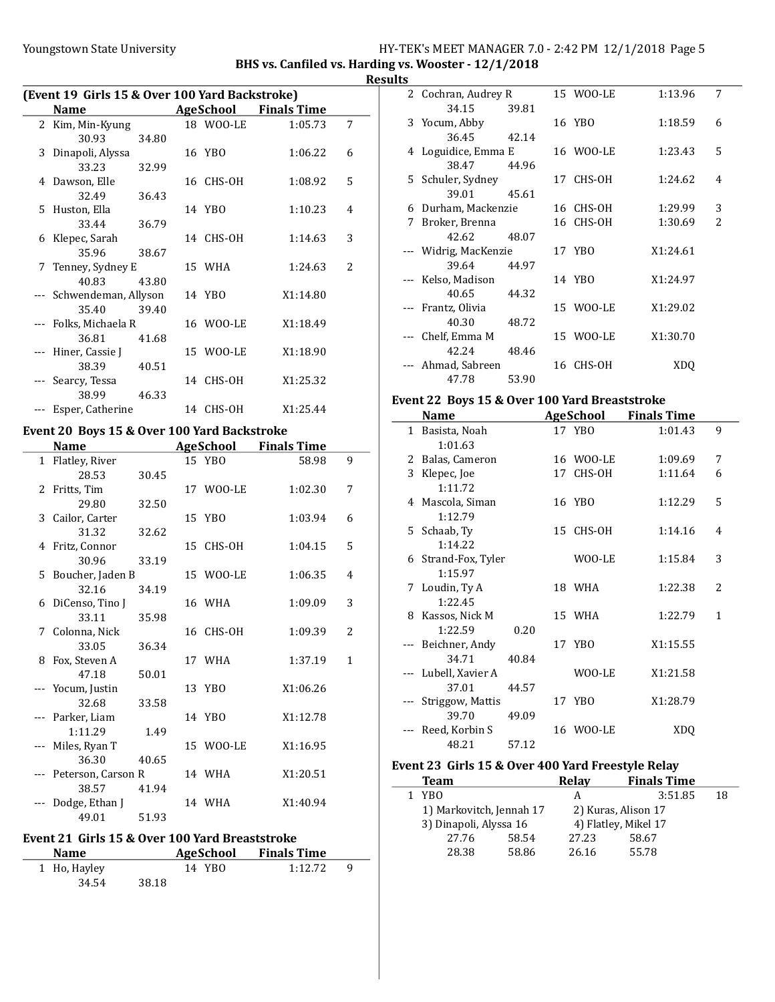### Youngstown State University The Management State University HY-TEK's MEET MANAGER 7.0 - 2:42 PM 12/1/2018 Page 5

BHS vs. Canfiled vs. Harding vs. Wooster - 12/1/2018 Results

| (Event 19 Girls 15 & Over 100 Yard Backstroke) |                          |       |  |           |                    |   |
|------------------------------------------------|--------------------------|-------|--|-----------|--------------------|---|
|                                                | <b>Name</b>              |       |  | AgeSchool | <b>Finals Time</b> |   |
|                                                | 2 Kim, Min-Kyung         |       |  | 18 WOO-LE | 1:05.73            | 7 |
|                                                | 30.93                    | 34.80 |  |           |                    |   |
| 3                                              | Dinapoli, Alyssa         |       |  | 16 YBO    | 1:06.22            | 6 |
|                                                | 33.23                    | 32.99 |  |           |                    |   |
|                                                | 4 Dawson, Elle           |       |  | 16 CHS-OH | 1:08.92            | 5 |
|                                                | 32.49                    | 36.43 |  |           |                    |   |
| 5.                                             | Huston, Ella             |       |  | 14 YBO    | 1:10.23            | 4 |
|                                                | 33.44                    | 36.79 |  |           |                    |   |
|                                                | 6 Klepec, Sarah          |       |  | 14 CHS-OH | 1:14.63            | 3 |
|                                                | 35.96                    | 38.67 |  |           |                    |   |
|                                                | 7 Tenney, Sydney E       |       |  | 15 WHA    | 1:24.63            | 2 |
|                                                | 40.83                    | 43.80 |  |           |                    |   |
|                                                | --- Schwendeman, Allyson |       |  | 14 YBO    | X1:14.80           |   |
|                                                | 35.40                    | 39.40 |  |           |                    |   |
|                                                | --- Folks, Michaela R    |       |  | 16 WOO-LE | X1:18.49           |   |
|                                                | 36.81                    | 41.68 |  |           |                    |   |
|                                                | Hiner, Cassie J          |       |  | 15 WOO-LE | X1:18.90           |   |
|                                                | 38.39                    | 40.51 |  |           |                    |   |
|                                                | Searcy, Tessa            |       |  | 14 CHS-OH | X1:25.32           |   |
|                                                | 38.99                    | 46.33 |  |           |                    |   |
|                                                | Esper, Catherine         |       |  | 14 CHS-OH | X1:25.44           |   |

# Event 20 Boys 15 & Over 100 Yard Backstroke

| Name                   |       | <b>AgeSchool</b> | <b>Finals Time</b> |                |
|------------------------|-------|------------------|--------------------|----------------|
| 1 Flatley, River       |       | 15 YBO           | 58.98              | 9              |
| 28.53                  | 30.45 |                  |                    |                |
| 2 Fritts, Tim          |       | 17 WOO-LE        | 1:02.30            | 7              |
| 29.80                  | 32.50 |                  |                    |                |
| 3 Cailor, Carter       |       | 15 YBO           | 1:03.94            | 6              |
| 31.32                  | 32.62 |                  |                    |                |
| 4 Fritz, Connor        |       | 15 CHS-OH        | 1:04.15            | 5              |
| 30.96                  | 33.19 |                  |                    |                |
| 5 Boucher, Jaden B     |       | 15 WOO-LE        | 1:06.35            | 4              |
| 32.16                  | 34.19 |                  |                    |                |
| 6 DiCenso, Tino J      |       | 16 WHA           | 1:09.09            | 3              |
| 33.11                  | 35.98 |                  |                    |                |
| 7 Colonna, Nick        |       | 16 CHS-OH        | 1:09.39            | $\overline{2}$ |
| 33.05                  | 36.34 |                  |                    |                |
| 8 Fox, Steven A        |       | 17 WHA           | 1:37.19            | 1              |
| 47.18                  | 50.01 |                  |                    |                |
| --- Yocum, Justin      |       | 13 YBO           | X1:06.26           |                |
| 32.68                  | 33.58 |                  |                    |                |
| --- Parker, Liam       |       | 14 YBO           | X1:12.78           |                |
| 1:11.29                | 1.49  |                  |                    |                |
| --- Miles, Ryan T      |       | 15 WOO-LE        | X1:16.95           |                |
| 36.30                  | 40.65 |                  |                    |                |
| --- Peterson, Carson R |       | 14 WHA           | X1:20.51           |                |
| 38.57                  | 41.94 |                  |                    |                |
| Dodge, Ethan J         |       | 14 WHA           | X1:40.94           |                |
| 49.01                  | 51.93 |                  |                    |                |

### Event 21 Girls 15 & Over 100 Yard Breaststroke

| <b>Name</b>  |       | AgeSchool | <b>Finals Time</b> |   |
|--------------|-------|-----------|--------------------|---|
| 1 Ho, Hayley |       | 14 YBO    | 1:12.72            | q |
| 34.54        | 38.18 |           |                    |   |

| w |                       |       |           |          |                          |
|---|-----------------------|-------|-----------|----------|--------------------------|
|   | 2 Cochran, Audrey R   |       | 15 WOO-LE | 1:13.96  | 7                        |
|   | 34.15                 | 39.81 |           |          |                          |
|   | 3 Yocum, Abby         |       | 16 YBO    | 1:18.59  | 6                        |
|   | 36.45                 | 42.14 |           |          |                          |
|   | 4 Loguidice, Emma E   |       | 16 WOO-LE | 1:23.43  | 5                        |
|   | 38.47                 | 44.96 |           |          |                          |
|   | 5 Schuler, Sydney     |       | 17 CHS-OH | 1:24.62  | 4                        |
|   | 39.01                 | 45.61 |           |          |                          |
|   | 6 Durham, Mackenzie   |       | 16 CHS-OH | 1:29.99  | 3                        |
| 7 | Broker, Brenna        |       | 16 CHS-OH | 1:30.69  | $\overline{\mathcal{L}}$ |
|   | 42.62                 | 48.07 |           |          |                          |
|   | --- Widrig, MacKenzie |       | 17 YBO    | X1:24.61 |                          |
|   | 39.64                 | 44.97 |           |          |                          |
|   | --- Kelso, Madison    |       | 14 YBO    | X1:24.97 |                          |
|   | 40.65                 | 44.32 |           |          |                          |
|   | --- Frantz, Olivia    |       | 15 WOO-LE | X1:29.02 |                          |
|   | 40.30                 | 48.72 |           |          |                          |
|   | --- Chelf, Emma M     |       | 15 WOO-LE | X1:30.70 |                          |
|   | 42.24                 | 48.46 |           |          |                          |
|   | Ahmad, Sabreen        |       | 16 CHS-OH | XDO      |                          |
|   | 47.78                 | 53.90 |           |          |                          |

### Event 22 Boys 15 & Over 100 Yard Breaststroke

|              | Name                |       | <b>AgeSchool</b> | <b>Finals Time</b> |                          |
|--------------|---------------------|-------|------------------|--------------------|--------------------------|
| $\mathbf{1}$ | Basista, Noah       |       | 17 YBO           | 1:01.43            | 9                        |
|              | 1:01.63             |       |                  |                    |                          |
|              | 2 Balas, Cameron    |       | 16 WOO-LE        | 1:09.69            | 7                        |
| 3            | Klepec, Joe         |       | 17 CHS-OH        | 1:11.64            | 6                        |
|              | 1:11.72             |       |                  |                    |                          |
|              | 4 Mascola, Siman    |       | 16 YBO           | 1:12.29            | 5                        |
|              | 1:12.79             |       |                  |                    |                          |
|              | 5 Schaab, Ty        |       | 15 CHS-OH        | 1:14.16            | 4                        |
|              | 1:14.22             |       |                  |                    |                          |
|              | 6 Strand-Fox, Tyler |       | WOO-LE           | 1:15.84            | 3                        |
|              | 1:15.97             |       |                  |                    |                          |
|              | 7 Loudin, Ty A      |       | 18 WHA           | 1:22.38            | $\overline{\mathcal{L}}$ |
|              | 1:22.45             |       |                  |                    |                          |
| 8            | Kassos, Nick M      |       | 15 WHA           | 1:22.79            | 1                        |
|              | 1:22.59             | 0.20  |                  |                    |                          |
|              | --- Beichner, Andy  |       | 17 YBO           | X1:15.55           |                          |
|              | 34.71               | 40.84 |                  |                    |                          |
|              | Lubell, Xavier A    |       | WOO-LE           | X1:21.58           |                          |
|              | 37.01               | 44.57 |                  |                    |                          |
|              | Striggow, Mattis    |       | 17 YBO           | X1:28.79           |                          |
|              | 39.70               | 49.09 |                  |                    |                          |
|              | Reed, Korbin S      |       | 16 WOO-LE        | <b>XDQ</b>         |                          |
|              | 48.21               | 57.12 |                  |                    |                          |

### Event 23 Girls 15 & Over 400 Yard Freestyle Relay

| <b>Team</b>              |       | Relay               | <b>Finals Time</b>   |    |
|--------------------------|-------|---------------------|----------------------|----|
| 1 YBO                    |       | А                   | 3:51.85              | 18 |
| 1) Markovitch, Jennah 17 |       | 2) Kuras, Alison 17 |                      |    |
| 3) Dinapoli, Alyssa 16   |       |                     | 4) Flatley, Mikel 17 |    |
| 27.76                    | 58.54 | 27.23               | 58.67                |    |
| 28.38                    | 58.86 | 26.16               | 55.78                |    |